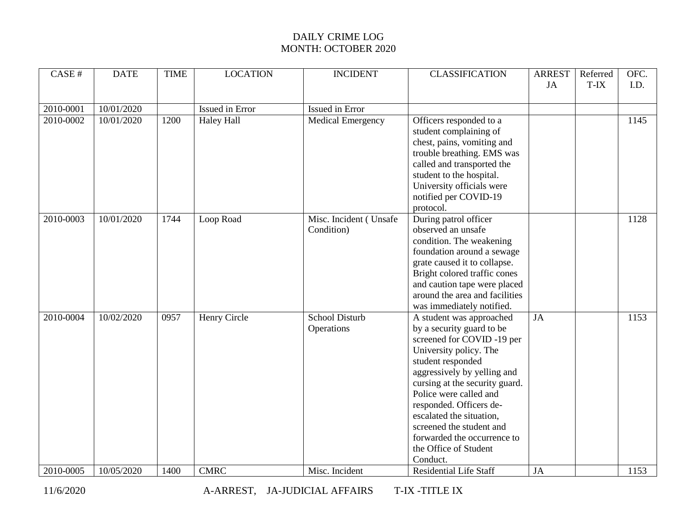| CASE#     | <b>DATE</b> | <b>TIME</b> | <b>LOCATION</b>   | <b>INCIDENT</b>          | <b>CLASSIFICATION</b>          | <b>ARREST</b> | Referred | OFC. |
|-----------|-------------|-------------|-------------------|--------------------------|--------------------------------|---------------|----------|------|
|           |             |             |                   |                          |                                | JA            | T-IX     | I.D. |
|           |             |             |                   |                          |                                |               |          |      |
| 2010-0001 | 10/01/2020  |             | Issued in Error   | Issued in Error          |                                |               |          |      |
| 2010-0002 | 10/01/2020  | 1200        | <b>Haley Hall</b> | <b>Medical Emergency</b> | Officers responded to a        |               |          | 1145 |
|           |             |             |                   |                          | student complaining of         |               |          |      |
|           |             |             |                   |                          | chest, pains, vomiting and     |               |          |      |
|           |             |             |                   |                          | trouble breathing. EMS was     |               |          |      |
|           |             |             |                   |                          | called and transported the     |               |          |      |
|           |             |             |                   |                          | student to the hospital.       |               |          |      |
|           |             |             |                   |                          | University officials were      |               |          |      |
|           |             |             |                   |                          | notified per COVID-19          |               |          |      |
|           |             |             |                   |                          | protocol.                      |               |          |      |
| 2010-0003 | 10/01/2020  | 1744        | Loop Road         | Misc. Incident (Unsafe   | During patrol officer          |               |          | 1128 |
|           |             |             |                   | Condition)               | observed an unsafe             |               |          |      |
|           |             |             |                   |                          | condition. The weakening       |               |          |      |
|           |             |             |                   |                          | foundation around a sewage     |               |          |      |
|           |             |             |                   |                          | grate caused it to collapse.   |               |          |      |
|           |             |             |                   |                          | Bright colored traffic cones   |               |          |      |
|           |             |             |                   |                          | and caution tape were placed   |               |          |      |
|           |             |             |                   |                          | around the area and facilities |               |          |      |
|           |             |             |                   |                          | was immediately notified.      |               |          |      |
| 2010-0004 | 10/02/2020  | 0957        | Henry Circle      | School Disturb           | A student was approached       | JA            |          | 1153 |
|           |             |             |                   | Operations               | by a security guard to be      |               |          |      |
|           |             |             |                   |                          | screened for COVID-19 per      |               |          |      |
|           |             |             |                   |                          | University policy. The         |               |          |      |
|           |             |             |                   |                          | student responded              |               |          |      |
|           |             |             |                   |                          | aggressively by yelling and    |               |          |      |
|           |             |             |                   |                          | cursing at the security guard. |               |          |      |
|           |             |             |                   |                          | Police were called and         |               |          |      |
|           |             |             |                   |                          | responded. Officers de-        |               |          |      |
|           |             |             |                   |                          | escalated the situation,       |               |          |      |
|           |             |             |                   |                          | screened the student and       |               |          |      |
|           |             |             |                   |                          | forwarded the occurrence to    |               |          |      |
|           |             |             |                   |                          | the Office of Student          |               |          |      |
|           |             |             |                   |                          | Conduct.                       |               |          |      |
| 2010-0005 | 10/05/2020  | 1400        | <b>CMRC</b>       | Misc. Incident           | <b>Residential Life Staff</b>  | JA            |          | 1153 |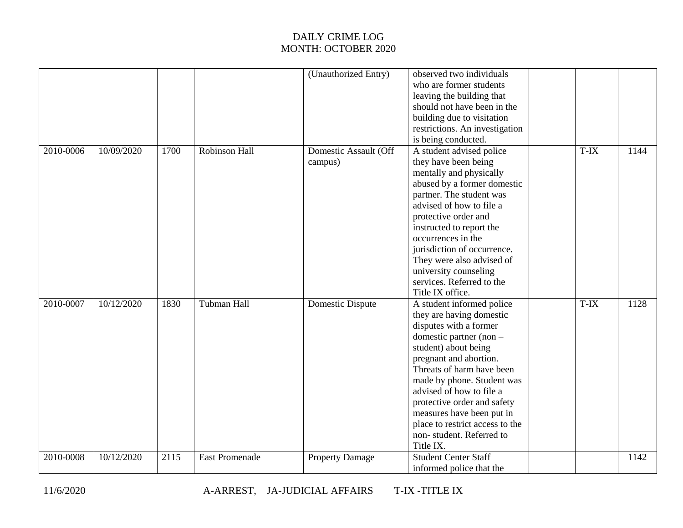|           |            |      |                       | (Unauthorized Entry)             | observed two individuals<br>who are former students<br>leaving the building that<br>should not have been in the<br>building due to visitation<br>restrictions. An investigation                                                                                                                                                                                                                           |      |      |
|-----------|------------|------|-----------------------|----------------------------------|-----------------------------------------------------------------------------------------------------------------------------------------------------------------------------------------------------------------------------------------------------------------------------------------------------------------------------------------------------------------------------------------------------------|------|------|
| 2010-0006 | 10/09/2020 | 1700 | Robinson Hall         | Domestic Assault (Off<br>campus) | is being conducted.<br>A student advised police<br>they have been being<br>mentally and physically<br>abused by a former domestic<br>partner. The student was<br>advised of how to file a<br>protective order and<br>instructed to report the<br>occurrences in the<br>jurisdiction of occurrence.<br>They were also advised of<br>university counseling<br>services. Referred to the<br>Title IX office. | T-IX | 1144 |
| 2010-0007 | 10/12/2020 | 1830 | Tubman Hall           | Domestic Dispute                 | A student informed police<br>they are having domestic<br>disputes with a former<br>domestic partner (non -<br>student) about being<br>pregnant and abortion.<br>Threats of harm have been<br>made by phone. Student was<br>advised of how to file a<br>protective order and safety<br>measures have been put in<br>place to restrict access to the<br>non-student. Referred to<br>Title IX.               | T-IX | 1128 |
| 2010-0008 | 10/12/2020 | 2115 | <b>East Promenade</b> | <b>Property Damage</b>           | <b>Student Center Staff</b><br>informed police that the                                                                                                                                                                                                                                                                                                                                                   |      | 1142 |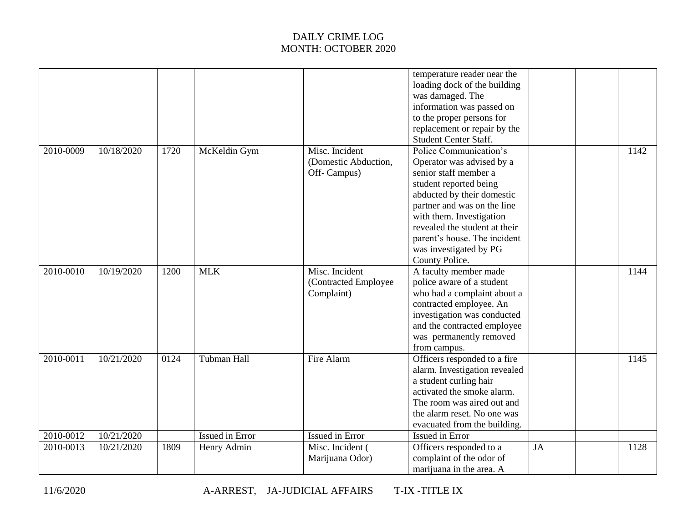|           |            |      |                        |                                                       | temperature reader near the<br>loading dock of the building<br>was damaged. The<br>information was passed on<br>to the proper persons for<br>replacement or repair by the<br><b>Student Center Staff.</b>                                                                                                    |    |      |
|-----------|------------|------|------------------------|-------------------------------------------------------|--------------------------------------------------------------------------------------------------------------------------------------------------------------------------------------------------------------------------------------------------------------------------------------------------------------|----|------|
| 2010-0009 | 10/18/2020 | 1720 | McKeldin Gym           | Misc. Incident<br>(Domestic Abduction,<br>Off-Campus) | Police Communication's<br>Operator was advised by a<br>senior staff member a<br>student reported being<br>abducted by their domestic<br>partner and was on the line<br>with them. Investigation<br>revealed the student at their<br>parent's house. The incident<br>was investigated by PG<br>County Police. |    | 1142 |
| 2010-0010 | 10/19/2020 | 1200 | <b>MLK</b>             | Misc. Incident<br>(Contracted Employee<br>Complaint)  | A faculty member made<br>police aware of a student<br>who had a complaint about a<br>contracted employee. An<br>investigation was conducted<br>and the contracted employee<br>was permanently removed<br>from campus.                                                                                        |    | 1144 |
| 2010-0011 | 10/21/2020 | 0124 | Tubman Hall            | Fire Alarm                                            | Officers responded to a fire<br>alarm. Investigation revealed<br>a student curling hair<br>activated the smoke alarm.<br>The room was aired out and<br>the alarm reset. No one was<br>evacuated from the building.                                                                                           |    | 1145 |
| 2010-0012 | 10/21/2020 |      | <b>Issued in Error</b> | Issued in Error                                       | Issued in Error                                                                                                                                                                                                                                                                                              |    |      |
| 2010-0013 | 10/21/2020 | 1809 | Henry Admin            | Misc. Incident (<br>Marijuana Odor)                   | Officers responded to a<br>complaint of the odor of<br>marijuana in the area. A                                                                                                                                                                                                                              | JA | 1128 |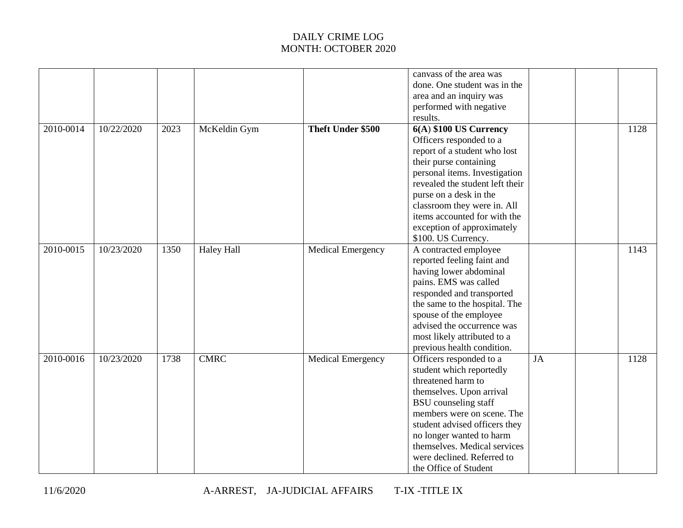|           |            |      |                   |                          | canvass of the area was<br>done. One student was in the<br>area and an inquiry was<br>performed with negative<br>results.                                                                                                                                                                                                     |    |      |
|-----------|------------|------|-------------------|--------------------------|-------------------------------------------------------------------------------------------------------------------------------------------------------------------------------------------------------------------------------------------------------------------------------------------------------------------------------|----|------|
| 2010-0014 | 10/22/2020 | 2023 | McKeldin Gym      | Theft Under \$500        | 6(A) \$100 US Currency<br>Officers responded to a<br>report of a student who lost<br>their purse containing<br>personal items. Investigation<br>revealed the student left their<br>purse on a desk in the<br>classroom they were in. All<br>items accounted for with the<br>exception of approximately<br>\$100. US Currency. |    | 1128 |
| 2010-0015 | 10/23/2020 | 1350 | <b>Haley Hall</b> | <b>Medical Emergency</b> | A contracted employee<br>reported feeling faint and<br>having lower abdominal<br>pains. EMS was called<br>responded and transported<br>the same to the hospital. The<br>spouse of the employee<br>advised the occurrence was<br>most likely attributed to a<br>previous health condition.                                     |    | 1143 |
| 2010-0016 | 10/23/2020 | 1738 | <b>CMRC</b>       | <b>Medical Emergency</b> | Officers responded to a<br>student which reportedly<br>threatened harm to<br>themselves. Upon arrival<br><b>BSU</b> counseling staff<br>members were on scene. The<br>student advised officers they<br>no longer wanted to harm<br>themselves. Medical services<br>were declined. Referred to<br>the Office of Student        | JA | 1128 |